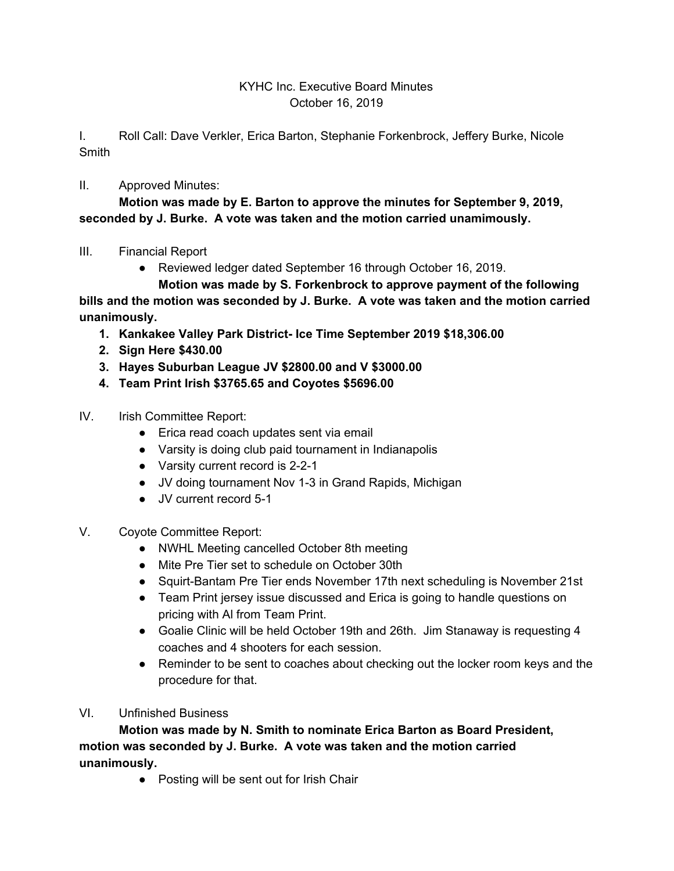## KYHC Inc. Executive Board Minutes October 16, 2019

I. Roll Call: Dave Verkler, Erica Barton, Stephanie Forkenbrock, Jeffery Burke, Nicole Smith

II. Approved Minutes:

**Motion was made by E. Barton to approve the minutes for September 9, 2019, seconded by J. Burke. A vote was taken and the motion carried unamimously.**

- III. Financial Report
	- Reviewed ledger dated September 16 through October 16, 2019.
	- **Motion was made by S. Forkenbrock to approve payment of the following**

**bills and the motion was seconded by J. Burke. A vote was taken and the motion carried unanimously.**

- **1. Kankakee Valley Park District- Ice Time September 2019 \$18,306.00**
- **2. Sign Here \$430.00**
- **3. Hayes Suburban League JV \$2800.00 and V \$3000.00**
- **4. Team Print Irish \$3765.65 and Coyotes \$5696.00**
- IV. Irish Committee Report:
	- Erica read coach updates sent via email
	- Varsity is doing club paid tournament in Indianapolis
	- Varsity current record is 2-2-1
	- JV doing tournament Nov 1-3 in Grand Rapids, Michigan
	- JV current record 5-1
- V. Coyote Committee Report:
	- NWHL Meeting cancelled October 8th meeting
	- Mite Pre Tier set to schedule on October 30th
	- Squirt-Bantam Pre Tier ends November 17th next scheduling is November 21st
	- Team Print jersey issue discussed and Erica is going to handle questions on pricing with Al from Team Print.
	- Goalie Clinic will be held October 19th and 26th. Jim Stanaway is requesting 4 coaches and 4 shooters for each session.
	- Reminder to be sent to coaches about checking out the locker room keys and the procedure for that.
- VI. Unfinished Business

**Motion was made by N. Smith to nominate Erica Barton as Board President, motion was seconded by J. Burke. A vote was taken and the motion carried unanimously.**

● Posting will be sent out for Irish Chair